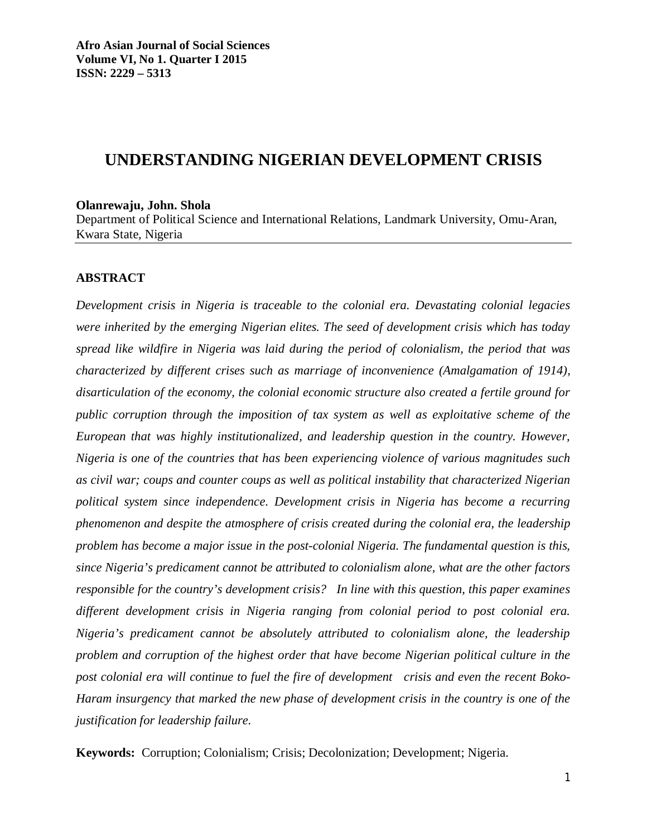# **UNDERSTANDING NIGERIAN DEVELOPMENT CRISIS**

#### **Olanrewaju, John. Shola**

Department of Political Science and International Relations, Landmark University, Omu-Aran, Kwara State, Nigeria

# **ABSTRACT**

*Development crisis in Nigeria is traceable to the colonial era. Devastating colonial legacies were inherited by the emerging Nigerian elites. The seed of development crisis which has today spread like wildfire in Nigeria was laid during the period of colonialism, the period that was characterized by different crises such as marriage of inconvenience (Amalgamation of 1914), disarticulation of the economy, the colonial economic structure also created a fertile ground for public corruption through the imposition of tax system as well as exploitative scheme of the European that was highly institutionalized, and leadership question in the country. However, Nigeria is one of the countries that has been experiencing violence of various magnitudes such as civil war; coups and counter coups as well as political instability that characterized Nigerian political system since independence. Development crisis in Nigeria has become a recurring phenomenon and despite the atmosphere of crisis created during the colonial era, the leadership problem has become a major issue in the post-colonial Nigeria. The fundamental question is this, since Nigeria's predicament cannot be attributed to colonialism alone, what are the other factors responsible for the country's development crisis? In line with this question, this paper examines different development crisis in Nigeria ranging from colonial period to post colonial era. Nigeria's predicament cannot be absolutely attributed to colonialism alone, the leadership problem and corruption of the highest order that have become Nigerian political culture in the post colonial era will continue to fuel the fire of development crisis and even the recent Boko-Haram insurgency that marked the new phase of development crisis in the country is one of the justification for leadership failure.*

**Keywords:** Corruption; Colonialism; Crisis; Decolonization; Development; Nigeria.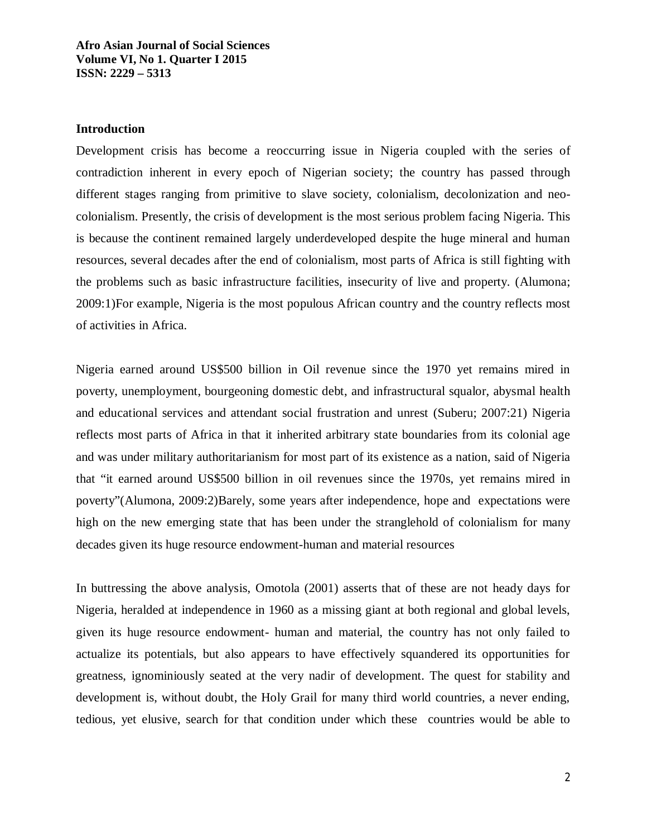#### **Introduction**

Development crisis has become a reoccurring issue in Nigeria coupled with the series of contradiction inherent in every epoch of Nigerian society; the country has passed through different stages ranging from primitive to slave society, colonialism, decolonization and neocolonialism. Presently, the crisis of development is the most serious problem facing Nigeria. This is because the continent remained largely underdeveloped despite the huge mineral and human resources, several decades after the end of colonialism, most parts of Africa is still fighting with the problems such as basic infrastructure facilities, insecurity of live and property. (Alumona; 2009:1)For example, Nigeria is the most populous African country and the country reflects most of activities in Africa.

Nigeria earned around US\$500 billion in Oil revenue since the 1970 yet remains mired in poverty, unemployment, bourgeoning domestic debt, and infrastructural squalor, abysmal health and educational services and attendant social frustration and unrest (Suberu; 2007:21) Nigeria reflects most parts of Africa in that it inherited arbitrary state boundaries from its colonial age and was under military authoritarianism for most part of its existence as a nation, said of Nigeria that "it earned around US\$500 billion in oil revenues since the 1970s, yet remains mired in poverty"(Alumona, 2009:2)Barely, some years after independence, hope and expectations were high on the new emerging state that has been under the stranglehold of colonialism for many decades given its huge resource endowment-human and material resources

In buttressing the above analysis, Omotola (2001) asserts that of these are not heady days for Nigeria, heralded at independence in 1960 as a missing giant at both regional and global levels, given its huge resource endowment- human and material, the country has not only failed to actualize its potentials, but also appears to have effectively squandered its opportunities for greatness, ignominiously seated at the very nadir of development. The quest for stability and development is, without doubt, the Holy Grail for many third world countries, a never ending, tedious, yet elusive, search for that condition under which these countries would be able to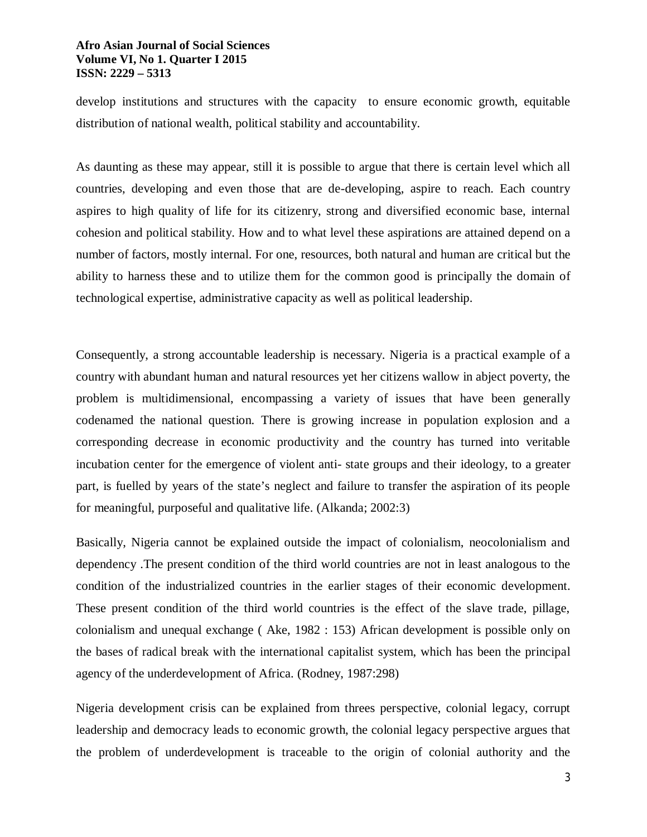develop institutions and structures with the capacity to ensure economic growth, equitable distribution of national wealth, political stability and accountability.

As daunting as these may appear, still it is possible to argue that there is certain level which all countries, developing and even those that are de-developing, aspire to reach. Each country aspires to high quality of life for its citizenry, strong and diversified economic base, internal cohesion and political stability. How and to what level these aspirations are attained depend on a number of factors, mostly internal. For one, resources, both natural and human are critical but the ability to harness these and to utilize them for the common good is principally the domain of technological expertise, administrative capacity as well as political leadership.

Consequently, a strong accountable leadership is necessary. Nigeria is a practical example of a country with abundant human and natural resources yet her citizens wallow in abject poverty, the problem is multidimensional, encompassing a variety of issues that have been generally codenamed the national question. There is growing increase in population explosion and a corresponding decrease in economic productivity and the country has turned into veritable incubation center for the emergence of violent anti- state groups and their ideology, to a greater part, is fuelled by years of the state's neglect and failure to transfer the aspiration of its people for meaningful, purposeful and qualitative life. (Alkanda; 2002:3)

Basically, Nigeria cannot be explained outside the impact of colonialism, neocolonialism and dependency .The present condition of the third world countries are not in least analogous to the condition of the industrialized countries in the earlier stages of their economic development. These present condition of the third world countries is the effect of the slave trade, pillage, colonialism and unequal exchange ( Ake, 1982 : 153) African development is possible only on the bases of radical break with the international capitalist system, which has been the principal agency of the underdevelopment of Africa. (Rodney, 1987:298)

Nigeria development crisis can be explained from threes perspective, colonial legacy, corrupt leadership and democracy leads to economic growth, the colonial legacy perspective argues that the problem of underdevelopment is traceable to the origin of colonial authority and the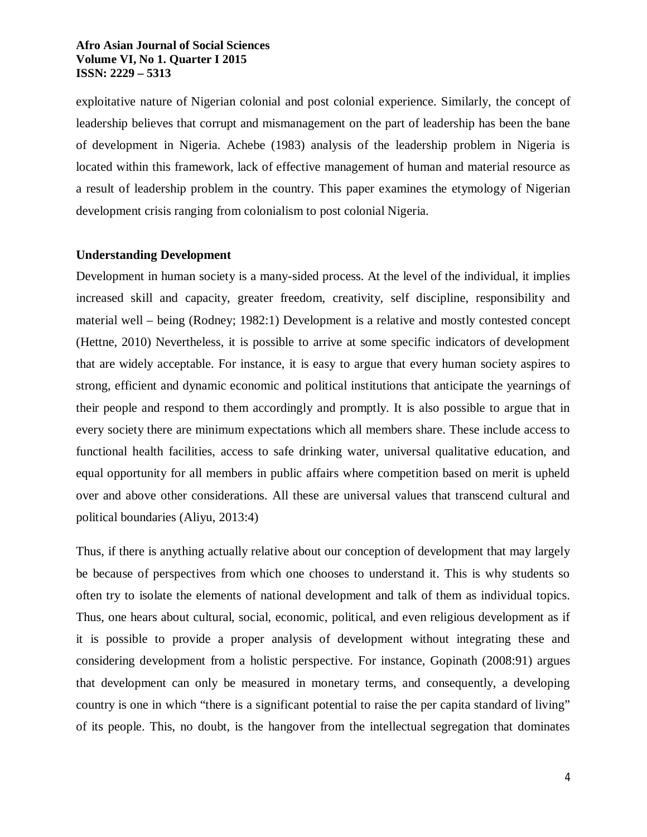exploitative nature of Nigerian colonial and post colonial experience. Similarly, the concept of leadership believes that corrupt and mismanagement on the part of leadership has been the bane of development in Nigeria. Achebe (1983) analysis of the leadership problem in Nigeria is located within this framework, lack of effective management of human and material resource as a result of leadership problem in the country. This paper examines the etymology of Nigerian development crisis ranging from colonialism to post colonial Nigeria.

#### **Understanding Development**

Development in human society is a many-sided process. At the level of the individual, it implies increased skill and capacity, greater freedom, creativity, self discipline, responsibility and material well – being (Rodney; 1982:1) Development is a relative and mostly contested concept (Hettne, 2010) Nevertheless, it is possible to arrive at some specific indicators of development that are widely acceptable. For instance, it is easy to argue that every human society aspires to strong, efficient and dynamic economic and political institutions that anticipate the yearnings of their people and respond to them accordingly and promptly. It is also possible to argue that in every society there are minimum expectations which all members share. These include access to functional health facilities, access to safe drinking water, universal qualitative education, and equal opportunity for all members in public affairs where competition based on merit is upheld over and above other considerations. All these are universal values that transcend cultural and political boundaries (Aliyu, 2013:4)

Thus, if there is anything actually relative about our conception of development that may largely be because of perspectives from which one chooses to understand it. This is why students so often try to isolate the elements of national development and talk of them as individual topics. Thus, one hears about cultural, social, economic, political, and even religious development as if it is possible to provide a proper analysis of development without integrating these and considering development from a holistic perspective. For instance, Gopinath (2008:91) argues that development can only be measured in monetary terms, and consequently, a developing country is one in which "there is a significant potential to raise the per capita standard of living" of its people. This, no doubt, is the hangover from the intellectual segregation that dominates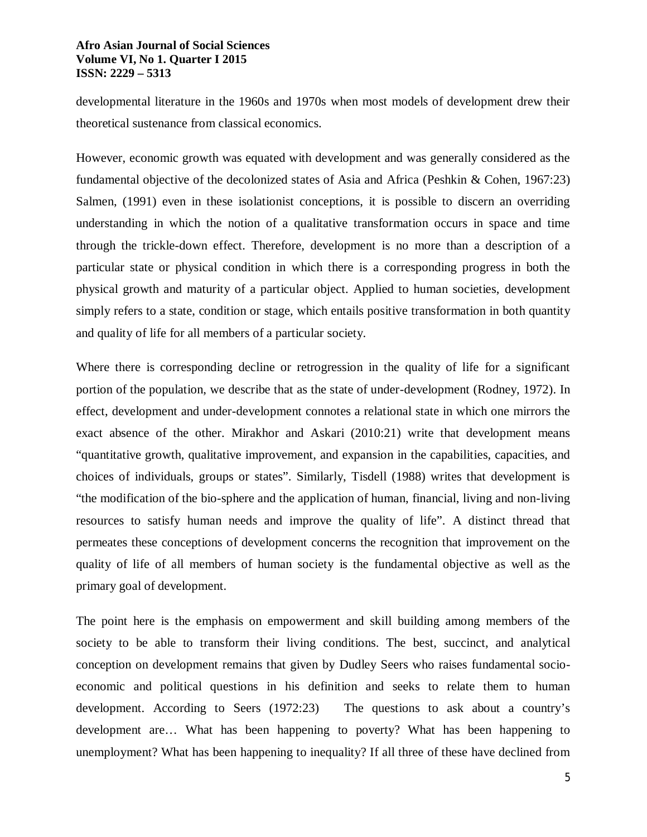developmental literature in the 1960s and 1970s when most models of development drew their theoretical sustenance from classical economics.

However, economic growth was equated with development and was generally considered as the fundamental objective of the decolonized states of Asia and Africa (Peshkin & Cohen, 1967:23) Salmen, (1991) even in these isolationist conceptions, it is possible to discern an overriding understanding in which the notion of a qualitative transformation occurs in space and time through the trickle-down effect. Therefore, development is no more than a description of a particular state or physical condition in which there is a corresponding progress in both the physical growth and maturity of a particular object. Applied to human societies, development simply refers to a state, condition or stage, which entails positive transformation in both quantity and quality of life for all members of a particular society.

Where there is corresponding decline or retrogression in the quality of life for a significant portion of the population, we describe that as the state of under-development (Rodney, 1972). In effect, development and under-development connotes a relational state in which one mirrors the exact absence of the other. Mirakhor and Askari (2010:21) write that development means "quantitative growth, qualitative improvement, and expansion in the capabilities, capacities, and choices of individuals, groups or states". Similarly, Tisdell (1988) writes that development is "the modification of the bio-sphere and the application of human, financial, living and non-living resources to satisfy human needs and improve the quality of life". A distinct thread that permeates these conceptions of development concerns the recognition that improvement on the quality of life of all members of human society is the fundamental objective as well as the primary goal of development.

The point here is the emphasis on empowerment and skill building among members of the society to be able to transform their living conditions. The best, succinct, and analytical conception on development remains that given by Dudley Seers who raises fundamental socioeconomic and political questions in his definition and seeks to relate them to human development. According to Seers (1972:23) The questions to ask about a country's development are… What has been happening to poverty? What has been happening to unemployment? What has been happening to inequality? If all three of these have declined from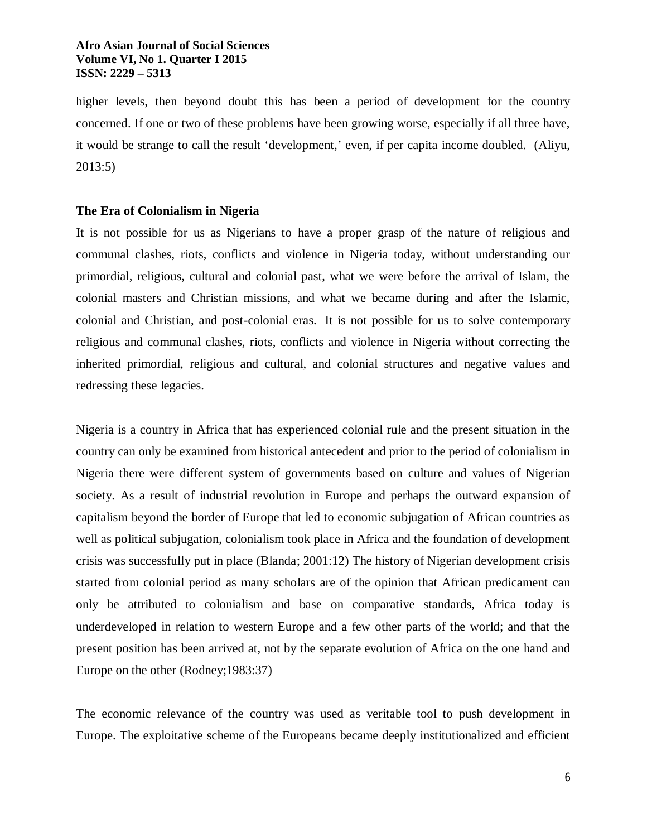higher levels, then beyond doubt this has been a period of development for the country concerned. If one or two of these problems have been growing worse, especially if all three have, it would be strange to call the result 'development,' even, if per capita income doubled. (Aliyu, 2013:5)

# **The Era of Colonialism in Nigeria**

It is not possible for us as Nigerians to have a proper grasp of the nature of religious and communal clashes, riots, conflicts and violence in Nigeria today, without understanding our primordial, religious, cultural and colonial past, what we were before the arrival of Islam, the colonial masters and Christian missions, and what we became during and after the Islamic, colonial and Christian, and post-colonial eras. It is not possible for us to solve contemporary religious and communal clashes, riots, conflicts and violence in Nigeria without correcting the inherited primordial, religious and cultural, and colonial structures and negative values and redressing these legacies.

Nigeria is a country in Africa that has experienced colonial rule and the present situation in the country can only be examined from historical antecedent and prior to the period of colonialism in Nigeria there were different system of governments based on culture and values of Nigerian society. As a result of industrial revolution in Europe and perhaps the outward expansion of capitalism beyond the border of Europe that led to economic subjugation of African countries as well as political subjugation, colonialism took place in Africa and the foundation of development crisis was successfully put in place (Blanda; 2001:12) The history of Nigerian development crisis started from colonial period as many scholars are of the opinion that African predicament can only be attributed to colonialism and base on comparative standards, Africa today is underdeveloped in relation to western Europe and a few other parts of the world; and that the present position has been arrived at, not by the separate evolution of Africa on the one hand and Europe on the other (Rodney;1983:37)

The economic relevance of the country was used as veritable tool to push development in Europe. The exploitative scheme of the Europeans became deeply institutionalized and efficient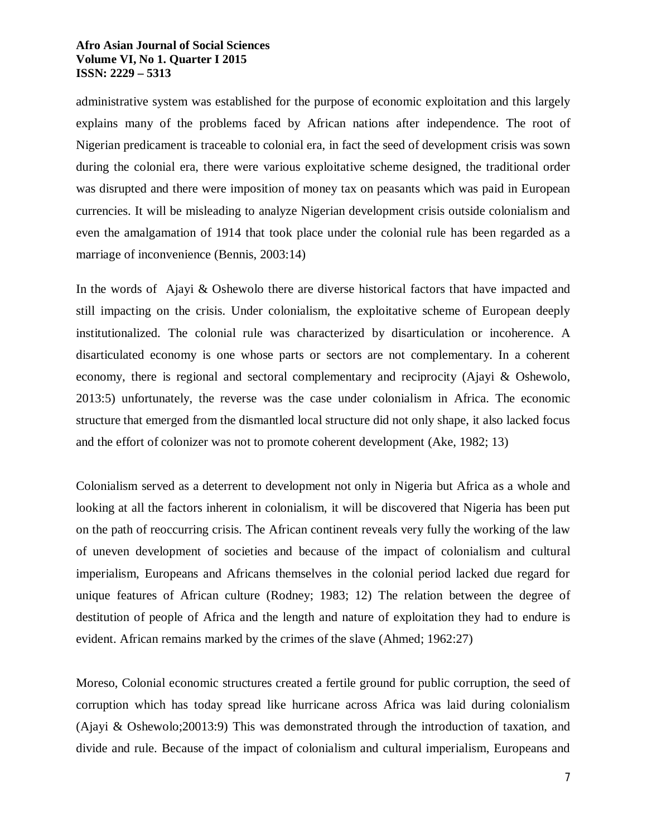administrative system was established for the purpose of economic exploitation and this largely explains many of the problems faced by African nations after independence. The root of Nigerian predicament is traceable to colonial era, in fact the seed of development crisis was sown during the colonial era, there were various exploitative scheme designed, the traditional order was disrupted and there were imposition of money tax on peasants which was paid in European currencies. It will be misleading to analyze Nigerian development crisis outside colonialism and even the amalgamation of 1914 that took place under the colonial rule has been regarded as a marriage of inconvenience (Bennis, 2003:14)

In the words of Ajayi & Oshewolo there are diverse historical factors that have impacted and still impacting on the crisis. Under colonialism, the exploitative scheme of European deeply institutionalized. The colonial rule was characterized by disarticulation or incoherence. A disarticulated economy is one whose parts or sectors are not complementary. In a coherent economy, there is regional and sectoral complementary and reciprocity (Ajayi & Oshewolo, 2013:5) unfortunately, the reverse was the case under colonialism in Africa. The economic structure that emerged from the dismantled local structure did not only shape, it also lacked focus and the effort of colonizer was not to promote coherent development (Ake, 1982; 13)

Colonialism served as a deterrent to development not only in Nigeria but Africa as a whole and looking at all the factors inherent in colonialism, it will be discovered that Nigeria has been put on the path of reoccurring crisis. The African continent reveals very fully the working of the law of uneven development of societies and because of the impact of colonialism and cultural imperialism, Europeans and Africans themselves in the colonial period lacked due regard for unique features of African culture (Rodney; 1983; 12) The relation between the degree of destitution of people of Africa and the length and nature of exploitation they had to endure is evident. African remains marked by the crimes of the slave (Ahmed; 1962:27)

Moreso, Colonial economic structures created a fertile ground for public corruption, the seed of corruption which has today spread like hurricane across Africa was laid during colonialism (Ajayi & Oshewolo;20013:9) This was demonstrated through the introduction of taxation, and divide and rule. Because of the impact of colonialism and cultural imperialism, Europeans and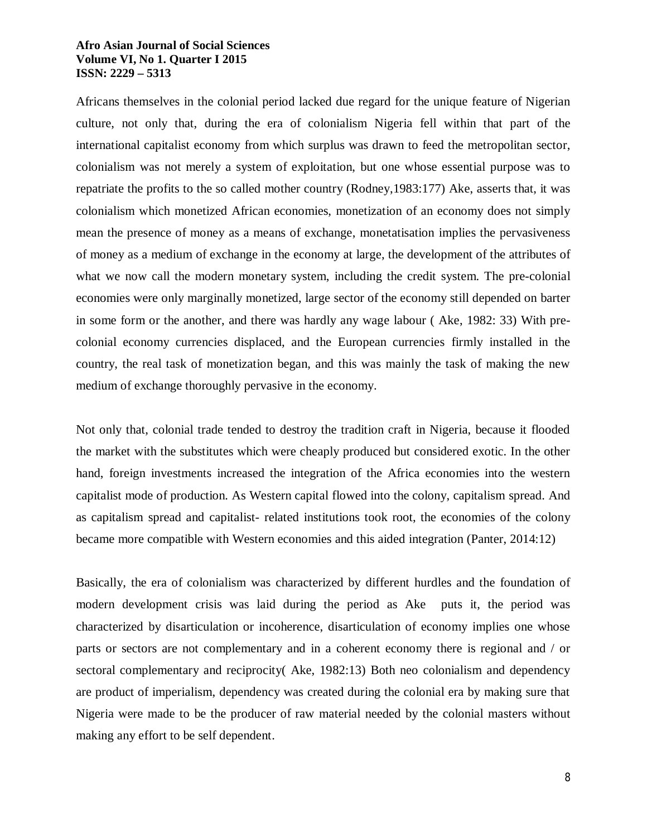Africans themselves in the colonial period lacked due regard for the unique feature of Nigerian culture, not only that, during the era of colonialism Nigeria fell within that part of the international capitalist economy from which surplus was drawn to feed the metropolitan sector, colonialism was not merely a system of exploitation, but one whose essential purpose was to repatriate the profits to the so called mother country (Rodney,1983:177) Ake, asserts that, it was colonialism which monetized African economies, monetization of an economy does not simply mean the presence of money as a means of exchange, monetatisation implies the pervasiveness of money as a medium of exchange in the economy at large, the development of the attributes of what we now call the modern monetary system, including the credit system. The pre-colonial economies were only marginally monetized, large sector of the economy still depended on barter in some form or the another, and there was hardly any wage labour ( Ake, 1982: 33) With precolonial economy currencies displaced, and the European currencies firmly installed in the country, the real task of monetization began, and this was mainly the task of making the new medium of exchange thoroughly pervasive in the economy.

Not only that, colonial trade tended to destroy the tradition craft in Nigeria, because it flooded the market with the substitutes which were cheaply produced but considered exotic. In the other hand, foreign investments increased the integration of the Africa economies into the western capitalist mode of production. As Western capital flowed into the colony, capitalism spread. And as capitalism spread and capitalist- related institutions took root, the economies of the colony became more compatible with Western economies and this aided integration (Panter, 2014:12)

Basically, the era of colonialism was characterized by different hurdles and the foundation of modern development crisis was laid during the period as Ake puts it, the period was characterized by disarticulation or incoherence, disarticulation of economy implies one whose parts or sectors are not complementary and in a coherent economy there is regional and / or sectoral complementary and reciprocity( Ake, 1982:13) Both neo colonialism and dependency are product of imperialism, dependency was created during the colonial era by making sure that Nigeria were made to be the producer of raw material needed by the colonial masters without making any effort to be self dependent.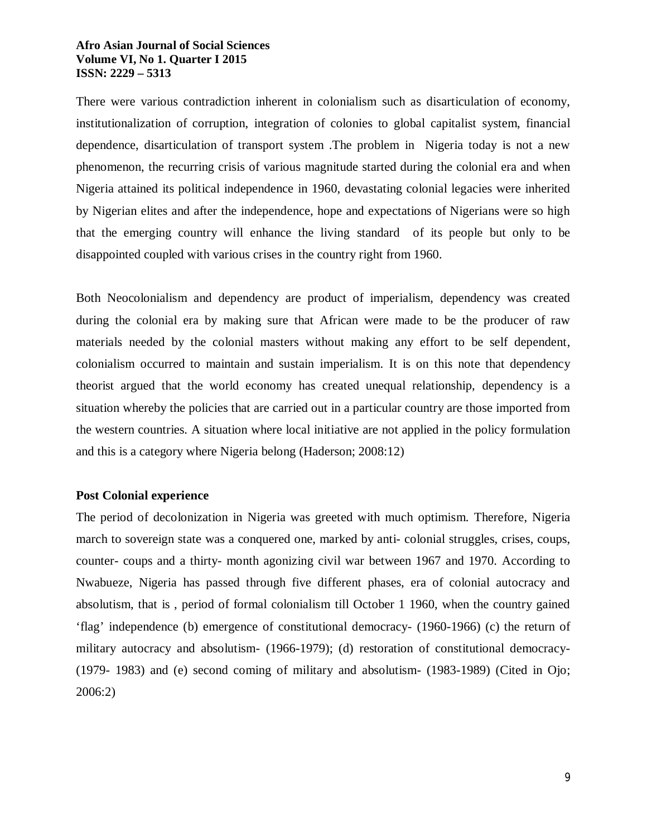There were various contradiction inherent in colonialism such as disarticulation of economy, institutionalization of corruption, integration of colonies to global capitalist system, financial dependence, disarticulation of transport system .The problem in Nigeria today is not a new phenomenon, the recurring crisis of various magnitude started during the colonial era and when Nigeria attained its political independence in 1960, devastating colonial legacies were inherited by Nigerian elites and after the independence, hope and expectations of Nigerians were so high that the emerging country will enhance the living standard of its people but only to be disappointed coupled with various crises in the country right from 1960.

Both Neocolonialism and dependency are product of imperialism, dependency was created during the colonial era by making sure that African were made to be the producer of raw materials needed by the colonial masters without making any effort to be self dependent, colonialism occurred to maintain and sustain imperialism. It is on this note that dependency theorist argued that the world economy has created unequal relationship, dependency is a situation whereby the policies that are carried out in a particular country are those imported from the western countries. A situation where local initiative are not applied in the policy formulation and this is a category where Nigeria belong (Haderson; 2008:12)

#### **Post Colonial experience**

The period of decolonization in Nigeria was greeted with much optimism. Therefore, Nigeria march to sovereign state was a conquered one, marked by anti- colonial struggles, crises, coups, counter- coups and a thirty- month agonizing civil war between 1967 and 1970. According to Nwabueze, Nigeria has passed through five different phases, era of colonial autocracy and absolutism, that is , period of formal colonialism till October 1 1960, when the country gained 'flag' independence (b) emergence of constitutional democracy- (1960-1966) (c) the return of military autocracy and absolutism- (1966-1979); (d) restoration of constitutional democracy- (1979- 1983) and (e) second coming of military and absolutism- (1983-1989) (Cited in Ojo; 2006:2)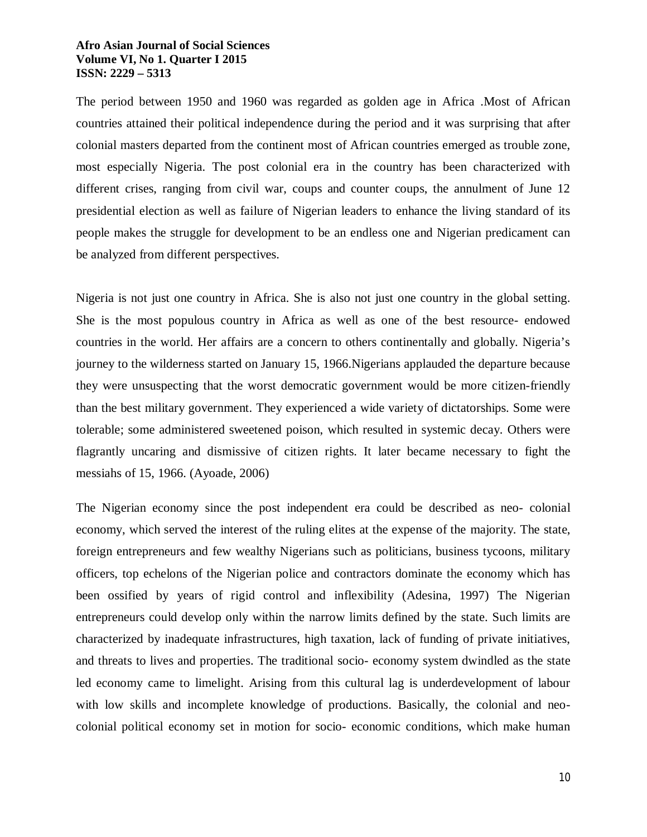The period between 1950 and 1960 was regarded as golden age in Africa .Most of African countries attained their political independence during the period and it was surprising that after colonial masters departed from the continent most of African countries emerged as trouble zone, most especially Nigeria. The post colonial era in the country has been characterized with different crises, ranging from civil war, coups and counter coups, the annulment of June 12 presidential election as well as failure of Nigerian leaders to enhance the living standard of its people makes the struggle for development to be an endless one and Nigerian predicament can be analyzed from different perspectives.

Nigeria is not just one country in Africa. She is also not just one country in the global setting. She is the most populous country in Africa as well as one of the best resource- endowed countries in the world. Her affairs are a concern to others continentally and globally. Nigeria's journey to the wilderness started on January 15, 1966.Nigerians applauded the departure because they were unsuspecting that the worst democratic government would be more citizen-friendly than the best military government. They experienced a wide variety of dictatorships. Some were tolerable; some administered sweetened poison, which resulted in systemic decay. Others were flagrantly uncaring and dismissive of citizen rights. It later became necessary to fight the messiahs of 15, 1966. (Ayoade, 2006)

The Nigerian economy since the post independent era could be described as neo- colonial economy, which served the interest of the ruling elites at the expense of the majority. The state, foreign entrepreneurs and few wealthy Nigerians such as politicians, business tycoons, military officers, top echelons of the Nigerian police and contractors dominate the economy which has been ossified by years of rigid control and inflexibility (Adesina, 1997) The Nigerian entrepreneurs could develop only within the narrow limits defined by the state. Such limits are characterized by inadequate infrastructures, high taxation, lack of funding of private initiatives, and threats to lives and properties. The traditional socio- economy system dwindled as the state led economy came to limelight. Arising from this cultural lag is underdevelopment of labour with low skills and incomplete knowledge of productions. Basically, the colonial and neocolonial political economy set in motion for socio- economic conditions, which make human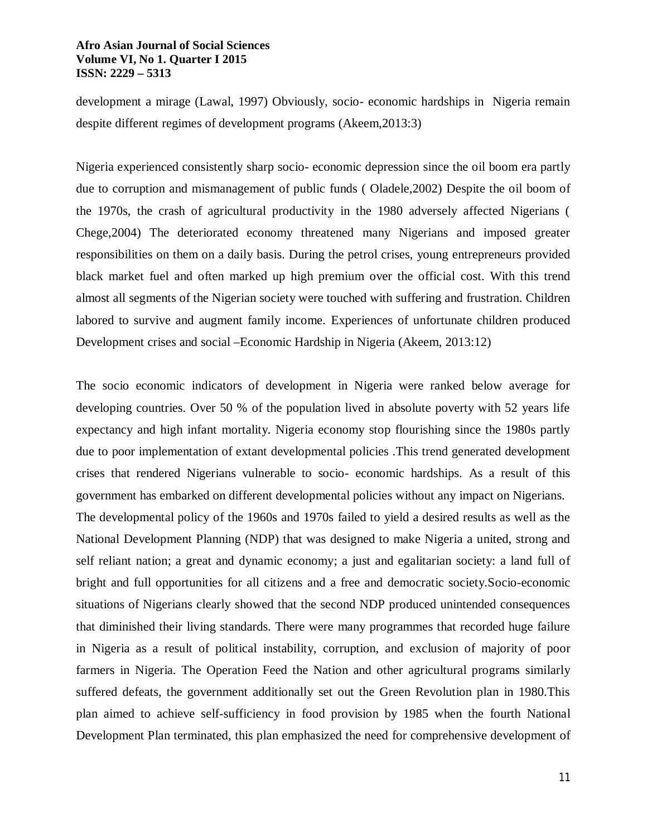development a mirage (Lawal, 1997) Obviously, socio- economic hardships in Nigeria remain despite different regimes of development programs (Akeem,2013:3)

Nigeria experienced consistently sharp socio- economic depression since the oil boom era partly due to corruption and mismanagement of public funds ( Oladele,2002) Despite the oil boom of the 1970s, the crash of agricultural productivity in the 1980 adversely affected Nigerians ( Chege,2004) The deteriorated economy threatened many Nigerians and imposed greater responsibilities on them on a daily basis. During the petrol crises, young entrepreneurs provided black market fuel and often marked up high premium over the official cost. With this trend almost all segments of the Nigerian society were touched with suffering and frustration. Children labored to survive and augment family income. Experiences of unfortunate children produced Development crises and social –Economic Hardship in Nigeria (Akeem, 2013:12)

The socio economic indicators of development in Nigeria were ranked below average for developing countries. Over 50 % of the population lived in absolute poverty with 52 years life expectancy and high infant mortality. Nigeria economy stop flourishing since the 1980s partly due to poor implementation of extant developmental policies .This trend generated development crises that rendered Nigerians vulnerable to socio- economic hardships. As a result of this government has embarked on different developmental policies without any impact on Nigerians. The developmental policy of the 1960s and 1970s failed to yield a desired results as well as the National Development Planning (NDP) that was designed to make Nigeria a united, strong and self reliant nation; a great and dynamic economy; a just and egalitarian society: a land full of bright and full opportunities for all citizens and a free and democratic society.Socio-economic situations of Nigerians clearly showed that the second NDP produced unintended consequences that diminished their living standards. There were many programmes that recorded huge failure in Nigeria as a result of political instability, corruption, and exclusion of majority of poor farmers in Nigeria. The Operation Feed the Nation and other agricultural programs similarly suffered defeats, the government additionally set out the Green Revolution plan in 1980.This plan aimed to achieve self-sufficiency in food provision by 1985 when the fourth National Development Plan terminated, this plan emphasized the need for comprehensive development of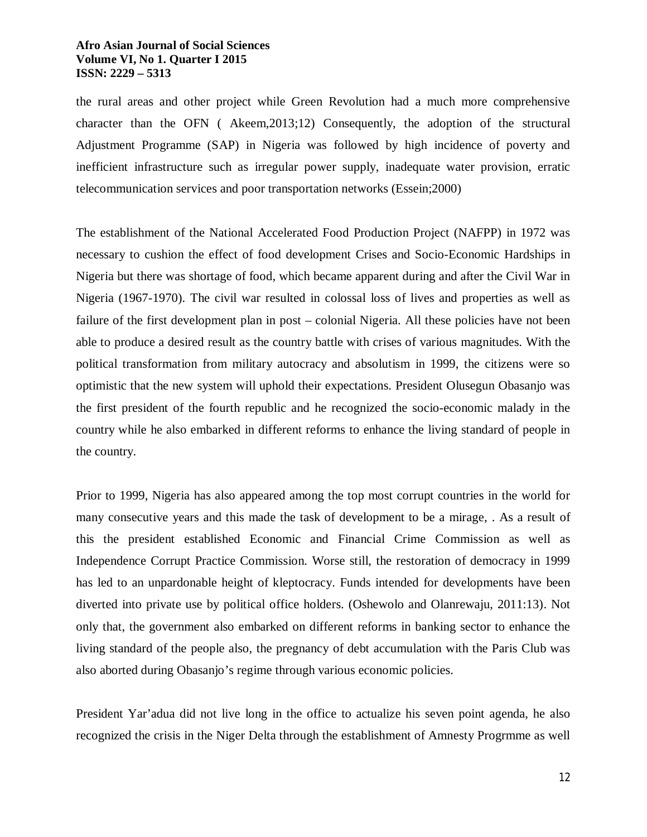the rural areas and other project while Green Revolution had a much more comprehensive character than the OFN ( Akeem,2013;12) Consequently, the adoption of the structural Adjustment Programme (SAP) in Nigeria was followed by high incidence of poverty and inefficient infrastructure such as irregular power supply, inadequate water provision, erratic telecommunication services and poor transportation networks (Essein;2000)

The establishment of the National Accelerated Food Production Project (NAFPP) in 1972 was necessary to cushion the effect of food development Crises and Socio-Economic Hardships in Nigeria but there was shortage of food, which became apparent during and after the Civil War in Nigeria (1967-1970). The civil war resulted in colossal loss of lives and properties as well as failure of the first development plan in post – colonial Nigeria. All these policies have not been able to produce a desired result as the country battle with crises of various magnitudes. With the political transformation from military autocracy and absolutism in 1999, the citizens were so optimistic that the new system will uphold their expectations. President Olusegun Obasanjo was the first president of the fourth republic and he recognized the socio-economic malady in the country while he also embarked in different reforms to enhance the living standard of people in the country.

Prior to 1999, Nigeria has also appeared among the top most corrupt countries in the world for many consecutive years and this made the task of development to be a mirage, . As a result of this the president established Economic and Financial Crime Commission as well as Independence Corrupt Practice Commission. Worse still, the restoration of democracy in 1999 has led to an unpardonable height of kleptocracy. Funds intended for developments have been diverted into private use by political office holders. (Oshewolo and Olanrewaju, 2011:13). Not only that, the government also embarked on different reforms in banking sector to enhance the living standard of the people also, the pregnancy of debt accumulation with the Paris Club was also aborted during Obasanjo's regime through various economic policies.

President Yar'adua did not live long in the office to actualize his seven point agenda, he also recognized the crisis in the Niger Delta through the establishment of Amnesty Progrmme as well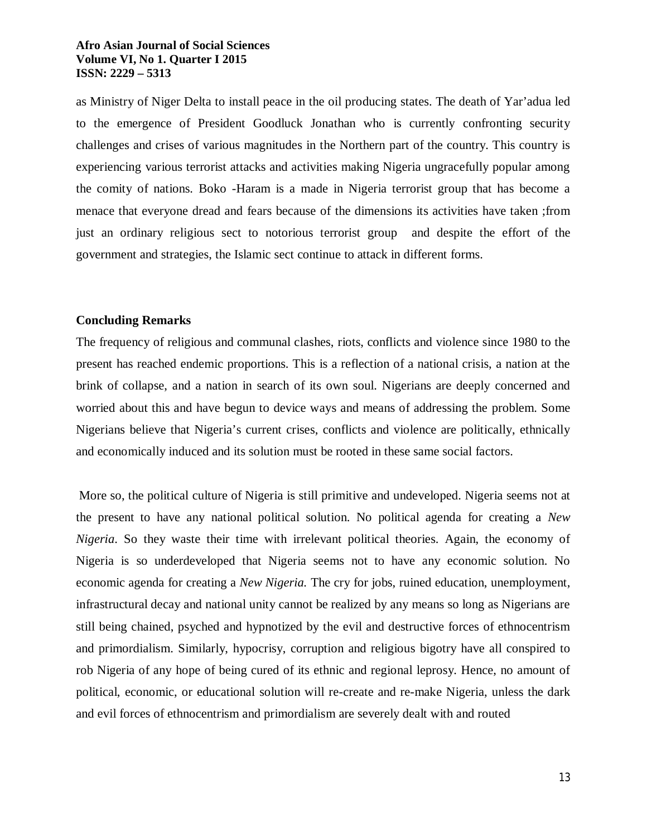as Ministry of Niger Delta to install peace in the oil producing states. The death of Yar'adua led to the emergence of President Goodluck Jonathan who is currently confronting security challenges and crises of various magnitudes in the Northern part of the country. This country is experiencing various terrorist attacks and activities making Nigeria ungracefully popular among the comity of nations. Boko -Haram is a made in Nigeria terrorist group that has become a menace that everyone dread and fears because of the dimensions its activities have taken ;from just an ordinary religious sect to notorious terrorist group and despite the effort of the government and strategies, the Islamic sect continue to attack in different forms.

# **Concluding Remarks**

The frequency of religious and communal clashes, riots, conflicts and violence since 1980 to the present has reached endemic proportions. This is a reflection of a national crisis, a nation at the brink of collapse, and a nation in search of its own soul. Nigerians are deeply concerned and worried about this and have begun to device ways and means of addressing the problem. Some Nigerians believe that Nigeria's current crises, conflicts and violence are politically, ethnically and economically induced and its solution must be rooted in these same social factors.

More so, the political culture of Nigeria is still primitive and undeveloped. Nigeria seems not at the present to have any national political solution. No political agenda for creating a *New Nigeria*. So they waste their time with irrelevant political theories. Again, the economy of Nigeria is so underdeveloped that Nigeria seems not to have any economic solution. No economic agenda for creating a *New Nigeria.* The cry for jobs, ruined education, unemployment, infrastructural decay and national unity cannot be realized by any means so long as Nigerians are still being chained, psyched and hypnotized by the evil and destructive forces of ethnocentrism and primordialism. Similarly, hypocrisy, corruption and religious bigotry have all conspired to rob Nigeria of any hope of being cured of its ethnic and regional leprosy. Hence, no amount of political, economic, or educational solution will re-create and re-make Nigeria, unless the dark and evil forces of ethnocentrism and primordialism are severely dealt with and routed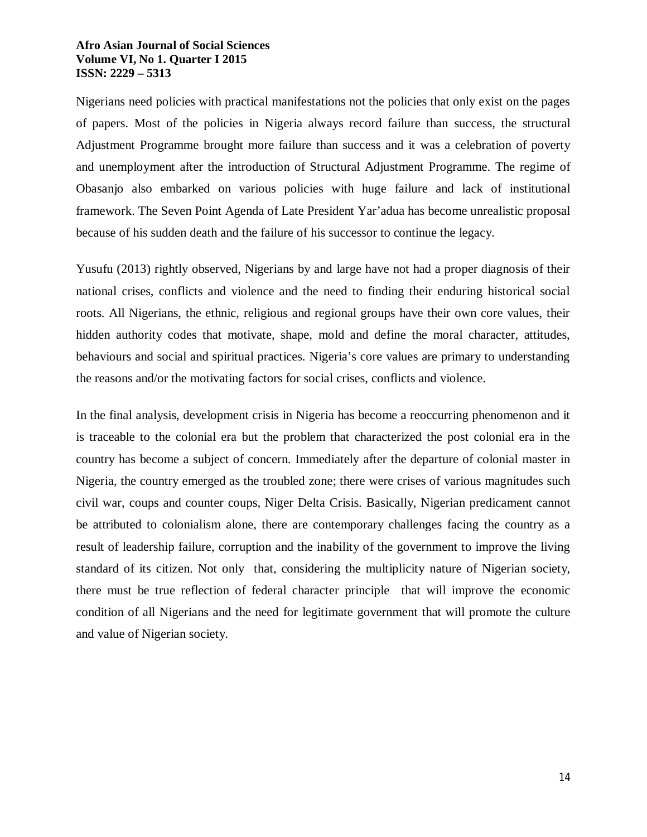Nigerians need policies with practical manifestations not the policies that only exist on the pages of papers. Most of the policies in Nigeria always record failure than success, the structural Adjustment Programme brought more failure than success and it was a celebration of poverty and unemployment after the introduction of Structural Adjustment Programme. The regime of Obasanjo also embarked on various policies with huge failure and lack of institutional framework. The Seven Point Agenda of Late President Yar'adua has become unrealistic proposal because of his sudden death and the failure of his successor to continue the legacy.

Yusufu (2013) rightly observed, Nigerians by and large have not had a proper diagnosis of their national crises, conflicts and violence and the need to finding their enduring historical social roots. All Nigerians, the ethnic, religious and regional groups have their own core values, their hidden authority codes that motivate, shape, mold and define the moral character, attitudes, behaviours and social and spiritual practices. Nigeria's core values are primary to understanding the reasons and/or the motivating factors for social crises, conflicts and violence.

In the final analysis, development crisis in Nigeria has become a reoccurring phenomenon and it is traceable to the colonial era but the problem that characterized the post colonial era in the country has become a subject of concern. Immediately after the departure of colonial master in Nigeria, the country emerged as the troubled zone; there were crises of various magnitudes such civil war, coups and counter coups, Niger Delta Crisis. Basically, Nigerian predicament cannot be attributed to colonialism alone, there are contemporary challenges facing the country as a result of leadership failure, corruption and the inability of the government to improve the living standard of its citizen. Not only that, considering the multiplicity nature of Nigerian society, there must be true reflection of federal character principle that will improve the economic condition of all Nigerians and the need for legitimate government that will promote the culture and value of Nigerian society.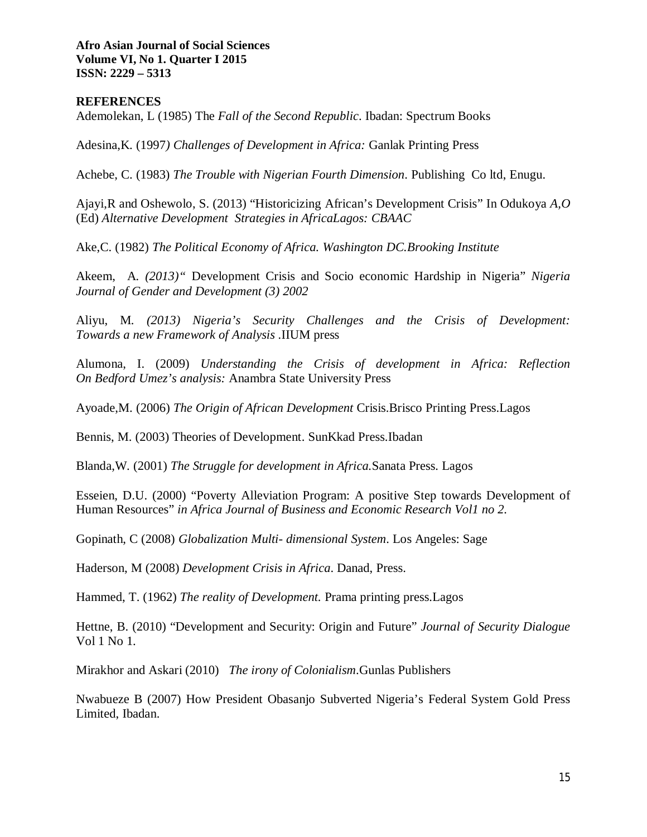# **REFERENCES**

Ademolekan, L (1985) The *Fall of the Second Republic*. Ibadan: Spectrum Books

Adesina,K. (1997*) Challenges of Development in Africa:* Ganlak Printing Press

Achebe, C. (1983) *The Trouble with Nigerian Fourth Dimension*. Publishing Co ltd, Enugu.

Ajayi,R and Oshewolo, S. (2013) "Historicizing African's Development Crisis" In Odukoya *A,O* (Ed) *Alternative Development Strategies in AfricaLagos: CBAAC*

Ake,C. (1982) *The Political Economy of Africa. Washington DC.Brooking Institute*

Akeem, A*. (2013)"* Development Crisis and Socio economic Hardship in Nigeria" *Nigeria Journal of Gender and Development (3) 2002*

Aliyu, M*. (2013) Nigeria's Security Challenges and the Crisis of Development: Towards a new Framework of Analysis .*IIUM press

Alumona, I. (2009) *Understanding the Crisis of development in Africa: Reflection On Bedford Umez's analysis:* Anambra State University Press

Ayoade,M. (2006) *The Origin of African Development* Crisis.Brisco Printing Press.Lagos

Bennis, M. (2003) Theories of Development. SunKkad Press.Ibadan

Blanda,W. (2001) *The Struggle for development in Africa.*Sanata Press. Lagos

Esseien, D.U. (2000) "Poverty Alleviation Program: A positive Step towards Development of Human Resources" *in Africa Journal of Business and Economic Research Vol1 no 2.*

Gopinath, C (2008) *Globalization Multi- dimensional System*. Los Angeles: Sage

Haderson, M (2008) *Development Crisis in Africa*. Danad, Press.

Hammed, T. (1962) *The reality of Development.* Prama printing press.Lagos

Hettne, B. (2010) "Development and Security: Origin and Future" *Journal of Security Dialogue* Vol 1 No 1.

Mirakhor and Askari (2010) *The irony of Colonialism*.Gunlas Publishers

Nwabueze B (2007) How President Obasanjo Subverted Nigeria's Federal System Gold Press Limited, Ibadan.